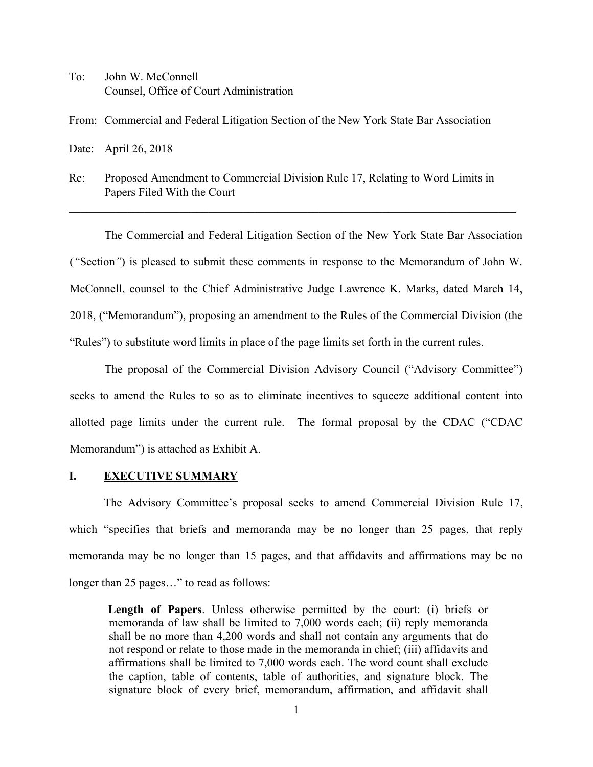To: John W. McConnell Counsel, Office of Court Administration

From: Commercial and Federal Litigation Section of the New York State Bar Association

Date: April 26, 2018

Re: Proposed Amendment to Commercial Division Rule 17, Relating to Word Limits in Papers Filed With the Court

\_\_\_\_\_\_\_\_\_\_\_\_\_\_\_\_\_\_\_\_\_\_\_\_\_\_\_\_\_\_\_\_\_\_\_\_\_\_\_\_\_\_\_\_\_\_\_\_\_\_\_\_\_\_\_\_\_\_\_\_\_\_\_\_\_\_\_\_\_\_\_\_\_\_\_\_\_

The Commercial and Federal Litigation Section of the New York State Bar Association (*"*Section*"*) is pleased to submit these comments in response to the Memorandum of John W. McConnell, counsel to the Chief Administrative Judge Lawrence K. Marks, dated March 14, 2018, ("Memorandum"), proposing an amendment to the Rules of the Commercial Division (the "Rules") to substitute word limits in place of the page limits set forth in the current rules.

The proposal of the Commercial Division Advisory Council ("Advisory Committee") seeks to amend the Rules to so as to eliminate incentives to squeeze additional content into allotted page limits under the current rule. The formal proposal by the CDAC ("CDAC Memorandum") is attached as Exhibit A.

## **I. EXECUTIVE SUMMARY**

The Advisory Committee's proposal seeks to amend Commercial Division Rule 17, which "specifies that briefs and memoranda may be no longer than 25 pages, that reply memoranda may be no longer than 15 pages, and that affidavits and affirmations may be no longer than 25 pages…" to read as follows:

**Length of Papers**. Unless otherwise permitted by the court: (i) briefs or memoranda of law shall be limited to 7,000 words each; (ii) reply memoranda shall be no more than 4,200 words and shall not contain any arguments that do not respond or relate to those made in the memoranda in chief; (iii) affidavits and affirmations shall be limited to 7,000 words each. The word count shall exclude the caption, table of contents, table of authorities, and signature block. The signature block of every brief, memorandum, affirmation, and affidavit shall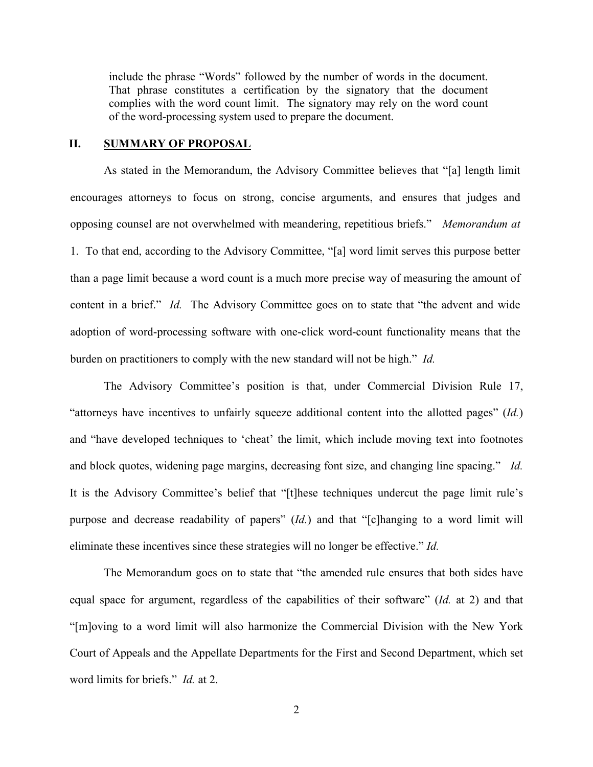include the phrase "Words" followed by the number of words in the document. That phrase constitutes a certification by the signatory that the document complies with the word count limit. The signatory may rely on the word count of the word-processing system used to prepare the document.

## **II. SUMMARY OF PROPOSAL**

As stated in the Memorandum, the Advisory Committee believes that "[a] length limit encourages attorneys to focus on strong, concise arguments, and ensures that judges and opposing counsel are not overwhelmed with meandering, repetitious briefs." *Memorandum at*  1. To that end, according to the Advisory Committee, "[a] word limit serves this purpose better than a page limit because a word count is a much more precise way of measuring the amount of content in a brief." *Id.* The Advisory Committee goes on to state that "the advent and wide adoption of word-processing software with one-click word-count functionality means that the burden on practitioners to comply with the new standard will not be high." *Id.*

The Advisory Committee's position is that, under Commercial Division Rule 17, "attorneys have incentives to unfairly squeeze additional content into the allotted pages" (*Id.*) and "have developed techniques to 'cheat' the limit, which include moving text into footnotes and block quotes, widening page margins, decreasing font size, and changing line spacing." *Id.* It is the Advisory Committee's belief that "[t]hese techniques undercut the page limit rule's purpose and decrease readability of papers" (*Id.*) and that "[c]hanging to a word limit will eliminate these incentives since these strategies will no longer be effective." *Id.*

The Memorandum goes on to state that "the amended rule ensures that both sides have equal space for argument, regardless of the capabilities of their software" (*Id.* at 2) and that "[m]oving to a word limit will also harmonize the Commercial Division with the New York Court of Appeals and the Appellate Departments for the First and Second Department, which set word limits for briefs." *Id.* at 2.